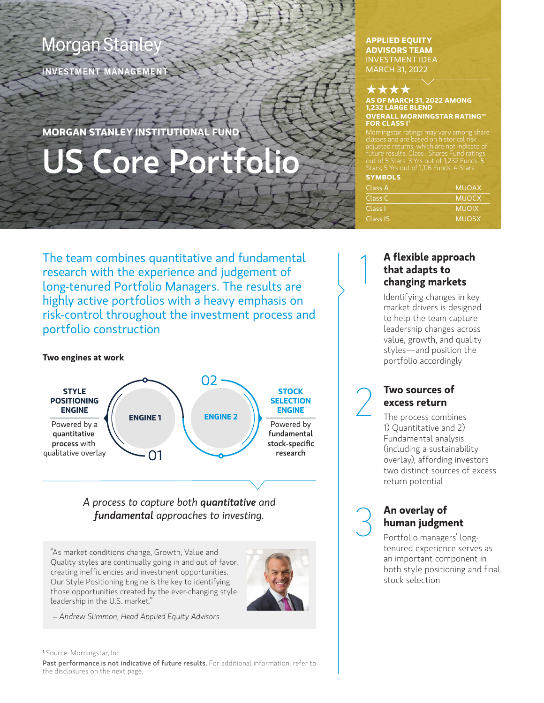# **Morgan Stanle**

INVESTMENT MANAGEMENT

**MORGAN STANLEY INSTITUTIONAL FUND**

# US Core Portfolio

# **APPLIED EQUITY ADVISORS TEAM**  INVESTMENT IDEA MARCH 31, 2022



1

#### **AS OF MARCH 31, 2022 AMONG 1,232 LARGE BLEND OVERALL MORNINGSTAR RATING™ FOR CLASS I1**

Morningstar ratings may vary among share future results. Class I Shares Fund ratings out of 5 Stars: 3 Yrs out of 1,232 Funds. 5 Stars; 5 Yrs out of 1,116 Funds. 4 Stars

| <b>SYMBOLS</b> |              |
|----------------|--------------|
| Class A        | <b>MUOAX</b> |
| Class C        | <b>MUOCX</b> |
| Class I        | <b>MUOIX</b> |
| Class IS       | <b>MUOSX</b> |

The team combines quantitative and fundamental research with the experience and judgement of long-tenured Portfolio Managers. The results are highly active portfolios with a heavy emphasis on risk-control throughout the investment process and portfolio construction

# **Two engines at work**



*A process to capture both quantitative and fundamental approaches to investing.*

"As market conditions change, Growth, Value and Quality styles are continually going in and out of favor, creating inefficiencies and investment opportunities. Our Style Positioning Engine is the key to identifying those opportunities created by the ever-changing style leadership in the U.S. market."



 *– Andrew Slimmon, Head Applied Equity Advisors*

**<sup>1</sup>** Source: Morningstar, Inc. Past performance is not indicative of future results. For additional information, refer to the disclosures on the next page.

# **A flexible approach that adapts to changing markets**

Identifying changes in key market drivers is designed to help the team capture leadership changes across value, growth, and quality styles—and position the portfolio accordingly

2 **Two sources of excess return**

The process combines 1) Quantitative and 2) Fundamental analysis (including a sustainability overlay), affording investors two distinct sources of excess return potential

**An overlay of<br>
<b>An overlay of**<br> **Portfolio manage human judgment** 

Portfolio managers' longtenured experience serves as an important component in both style positioning and final stock selection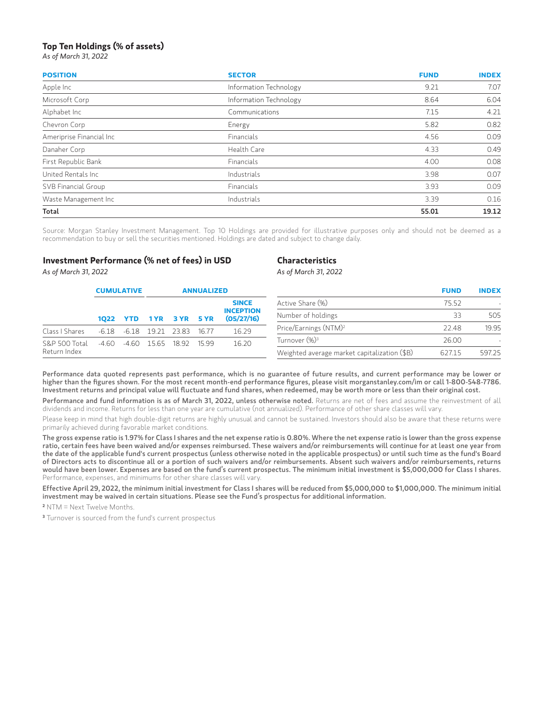# **Top Ten Holdings (% of assets)**

*As of March 31, 2022* 

*As of March 31, 2022* 

| <b>POSITION</b>          | <b>SECTOR</b>          | <b>FUND</b>          | <b>INDEX</b>                         |
|--------------------------|------------------------|----------------------|--------------------------------------|
| Apple Inc                | Information Technology | 9.21                 | 7.07                                 |
| Microsoft Corp           | Information Technology | 8.64                 | 6.04<br>4.21                         |
| Alphabet Inc             | Communications         | 7.15                 |                                      |
| Chevron Corp             | Energy                 | 5.82                 | 0.82                                 |
| Ameriprise Financial Inc | Financials             | 4.56<br>4.33<br>4.00 | 0.09<br>0.49<br>0.08<br>0.07<br>0.09 |
| Danaher Corp             | Health Care            |                      |                                      |
| First Republic Bank      | Financials             |                      |                                      |
| United Rentals Inc.      | Industrials            | 3.98                 |                                      |
| SVB Financial Group      | Financials             | 3.93                 |                                      |
| Waste Management Inc     | Industrials            | 3.39                 | 0.16                                 |
| Total                    |                        | 55.01                | 19.12                                |

Source: Morgan Stanley Investment Management. Top 10 Holdings are provided for illustrative purposes only and should not be deemed as a recommendation to buy or sell the securities mentioned. Holdings are dated and subject to change daily.

# **Investment Performance (% net of fees) in USD**

## **Characteristics** *As of March 31, 2022*

|                | <b>CUMULATIVE</b>                            |                           | <b>ANNUALIZED</b>                                                 |                                              |                    |        |                                   |       | <b>INDEX</b> |  |  |                  |       |  |
|----------------|----------------------------------------------|---------------------------|-------------------------------------------------------------------|----------------------------------------------|--------------------|--------|-----------------------------------|-------|--------------|--|--|------------------|-------|--|
|                |                                              |                           | <b>SINCE</b><br><b>INCEPTION</b><br>(05/27/16)<br>YTD 1YR 3YR 5YR |                                              |                    |        |                                   |       |              |  |  | Active Share (%) | 75.52 |  |
|                | 1022                                         |                           |                                                                   |                                              | Number of holdings | 33     | 505                               |       |              |  |  |                  |       |  |
| Class I Shares | -6.18                                        |                           | -6.18 19.21                                                       | 23.83                                        | 16.77              | 16.29  | Price/Earnings (NTM) <sup>2</sup> | 22.48 | 19.95        |  |  |                  |       |  |
| S&P 500 Total  | 16.20<br>-4.60<br>-4.60 15.65 18.92<br>15 99 | Turnover (%) <sup>3</sup> | 26.00                                                             |                                              |                    |        |                                   |       |              |  |  |                  |       |  |
| Return Index   |                                              |                           |                                                                   | Weighted average market capitalization (\$B) | 627.15             | 597.25 |                                   |       |              |  |  |                  |       |  |

Performance data quoted represents past performance, which is no guarantee of future results, and current performance may be lower or higher than the figures shown. For the most recent month-end performance figures, please visit morganstanley.com/im or call 1-800-548-7786. Investment returns and principal value will fluctuate and fund shares, when redeemed, may be worth more or less than their original cost.

Performance and fund information is as of March 31, 2022, unless otherwise noted. Returns are net of fees and assume the reinvestment of all dividends and income. Returns for less than one year are cumulative (not annualized). Performance of other share classes will vary.

Please keep in mind that high double-digit returns are highly unusual and cannot be sustained. Investors should also be aware that these returns were primarily achieved during favorable market conditions.

The gross expense ratio is 1.97% for Class I shares and the net expense ratio is 0.80%. Where the net expense ratio is lower than the gross expense ratio, certain fees have been waived and/or expenses reimbursed. These waivers and/or reimbursements will continue for at least one year from the date of the applicable fund's current prospectus (unless otherwise noted in the applicable prospectus) or until such time as the fund's Board of Directors acts to discontinue all or a portion of such waivers and/or reimbursements. Absent such waivers and/or reimbursements, returns would have been lower. Expenses are based on the fund's current prospectus. The minimum initial investment is \$5,000,000 for Class I shares. Performance, expenses, and minimums for other share classes will vary.

Effective April 29, 2022, the minimum initial investment for Class I shares will be reduced from \$5,000,000 to \$1,000,000. The minimum initial investment may be waived in certain situations. Please see the Fund's prospectus for additional information.

**2** NTM = Next Twelve Months.

**3** Turnover is sourced from the fund's current prospectus